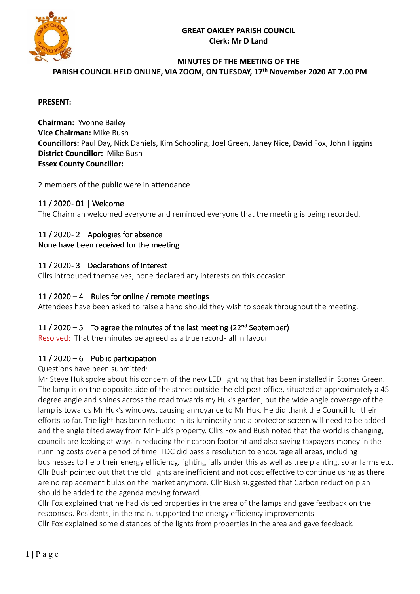

# **MINUTES OF THE MEETING OF THE**

**PARISH COUNCIL HELD ONLINE, VIA ZOOM, ON TUESDAY, 17 th November 2020 AT 7.00 PM** 

#### **PRESENT:**

**Chairman:** Yvonne Bailey **Vice Chairman:** Mike Bush **Councillors:** Paul Day, Nick Daniels, Kim Schooling, Joel Green, Janey Nice, David Fox, John Higgins **District Councillor:** Mike Bush **Essex County Councillor:** 

2 members of the public were in attendance

## 11 / 2020- 01 | Welcome

The Chairman welcomed everyone and reminded everyone that the meeting is being recorded.

### 11 / 2020 - 2 | Apologies for absence None have been received for the meeting

## 11 / 2020 - 3 | Declarations of Interest

Cllrs introduced themselves; none declared any interests on this occasion.

### 11 / 2020 – 4 | Rules for online / remote meetings

Attendees have been asked to raise a hand should they wish to speak throughout the meeting.

# 11 / 2020 – 5 | To agree the minutes of the last meeting  $(22<sup>nd</sup> September)$

Resolved: That the minutes be agreed as a true record- all in favour.

## 11 / 2020 – 6 | Public participation

#### Questions have been submitted:

Mr Steve Huk spoke about his concern of the new LED lighting that has been installed in Stones Green. The lamp is on the opposite side of the street outside the old post office, situated at approximately a 45 degree angle and shines across the road towards my Huk's garden, but the wide angle coverage of the lamp is towards Mr Huk's windows, causing annoyance to Mr Huk. He did thank the Council for their efforts so far. The light has been reduced in its luminosity and a protector screen will need to be added and the angle tilted away from Mr Huk's property. Cllrs Fox and Bush noted that the world is changing, councils are looking at ways in reducing their carbon footprint and also saving taxpayers money in the running costs over a period of time. TDC did pass a resolution to encourage all areas, including businesses to help their energy efficiency, lighting falls under this as well as tree planting, solar farms etc. Cllr Bush pointed out that the old lights are inefficient and not cost effective to continue using as there are no replacement bulbs on the market anymore. Cllr Bush suggested that Carbon reduction plan should be added to the agenda moving forward.

Cllr Fox explained that he had visited properties in the area of the lamps and gave feedback on the responses. Residents, in the main, supported the energy efficiency improvements.

Cllr Fox explained some distances of the lights from properties in the area and gave feedback.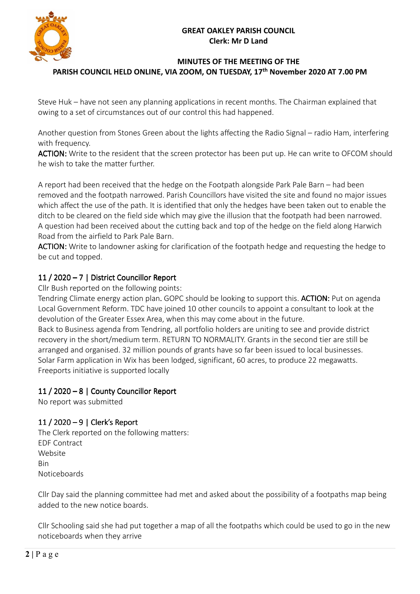

### **MINUTES OF THE MEETING OF THE PARISH COUNCIL HELD ONLINE, VIA ZOOM, ON TUESDAY, 17 th November 2020 AT 7.00 PM**

Steve Huk – have not seen any planning applications in recent months. The Chairman explained that owing to a set of circumstances out of our control this had happened.

Another question from Stones Green about the lights affecting the Radio Signal – radio Ham, interfering with frequency.

ACTION: Write to the resident that the screen protector has been put up. He can write to OFCOM should he wish to take the matter further.

A report had been received that the hedge on the Footpath alongside Park Pale Barn – had been removed and the footpath narrowed. Parish Councillors have visited the site and found no major issues which affect the use of the path. It is identified that only the hedges have been taken out to enable the ditch to be cleared on the field side which may give the illusion that the footpath had been narrowed. A question had been received about the cutting back and top of the hedge on the field along Harwich Road from the airfield to Park Pale Barn.

ACTION: Write to landowner asking for clarification of the footpath hedge and requesting the hedge to be cut and topped.

# 11 / 2020 – 7 | District Councillor Report

Cllr Bush reported on the following points:

Tendring Climate energy action plan. GOPC should be looking to support this. **ACTION:** Put on agenda Local Government Reform. TDC have joined 10 other councils to appoint a consultant to look at the devolution of the Greater Essex Area, when this may come about in the future.

Back to Business agenda from Tendring, all portfolio holders are uniting to see and provide district recovery in the short/medium term. RETURN TO NORMALITY. Grants in the second tier are still be arranged and organised. 32 million pounds of grants have so far been issued to local businesses. Solar Farm application in Wix has been lodged, significant, 60 acres, to produce 22 megawatts. Freeports initiative is supported locally

# 11 / 2020 – 8 | County Councillor Report

No report was submitted

# 11 / 2020 – 9 | Clerk's Report

The Clerk reported on the following matters: EDF Contract Website Bin **Noticeboards** 

Cllr Day said the planning committee had met and asked about the possibility of a footpaths map being added to the new notice boards.

Cllr Schooling said she had put together a map of all the footpaths which could be used to go in the new noticeboards when they arrive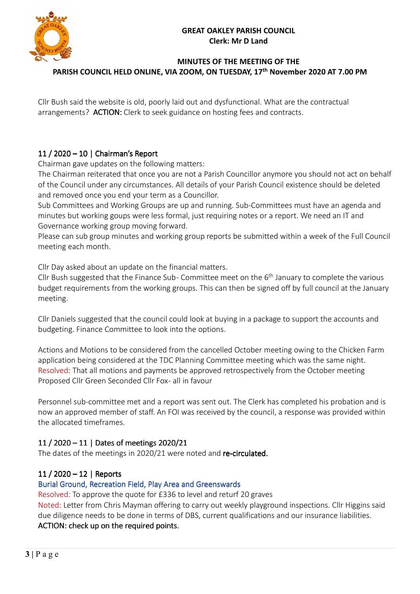

### **MINUTES OF THE MEETING OF THE PARISH COUNCIL HELD ONLINE, VIA ZOOM, ON TUESDAY, 17 th November 2020 AT 7.00 PM**

Cllr Bush said the website is old, poorly laid out and dysfunctional. What are the contractual arrangements? ACTION: Clerk to seek guidance on hosting fees and contracts.

# 11 / 2020 – 10  $|$  Chairman's Report

Chairman gave updates on the following matters:

The Chairman reiterated that once you are not a Parish Councillor anymore you should not act on behalf of the Council under any circumstances. All details of your Parish Council existence should be deleted and removed once you end your term as a Councillor.

Sub Committees and Working Groups are up and running. Sub-Committees must have an agenda and minutes but working goups were less formal, just requiring notes or a report. We need an IT and Governance working group moving forward.

Please can sub group minutes and working group reports be submitted within a week of the Full Council meeting each month.

Cllr Day asked about an update on the financial matters.

Cllr Bush suggested that the Finance Sub- Committee meet on the 6<sup>th</sup> January to complete the various budget requirements from the working groups. This can then be signed off by full council at the January meeting.

Cllr Daniels suggested that the council could look at buying in a package to support the accounts and budgeting. Finance Committee to look into the options.

Actions and Motions to be considered from the cancelled October meeting owing to the Chicken Farm application being considered at the TDC Planning Committee meeting which was the same night. Resolved: That all motions and payments be approved retrospectively from the October meeting Proposed Cllr Green Seconded Cllr Fox- all in favour

Personnel sub-committee met and a report was sent out. The Clerk has completed his probation and is now an approved member of staff. An FOI was received by the council, a response was provided within the allocated timeframes.

# 11 / 2020 – 11 | Dates of meetings 2020/21

The dates of the meetings in 2020/21 were noted and re-circulated.

# $11/2020 - 12$  | Reports

# Burial Ground, Recreation Field, Play Area and Greenswards

Resolved: To approve the quote for £336 to level and returf 20 graves

Noted: Letter from Chris Mayman offering to carry out weekly playground inspections. Cllr Higgins said due diligence needs to be done in terms of DBS, current qualifications and our insurance liabilities. ACTION: check up on the required points.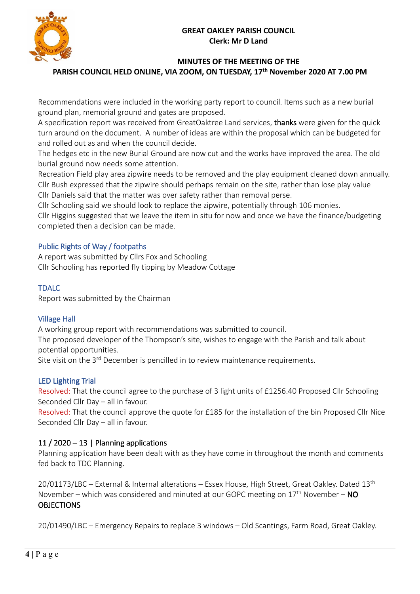

# **MINUTES OF THE MEETING OF THE**

**PARISH COUNCIL HELD ONLINE, VIA ZOOM, ON TUESDAY, 17 th November 2020 AT 7.00 PM** 

Recommendations were included in the working party report to council. Items such as a new burial ground plan, memorial ground and gates are proposed.

A specification report was received from GreatOaktree Land services, thanks were given for the quick turn around on the document. A number of ideas are within the proposal which can be budgeted for and rolled out as and when the council decide.

The hedges etc in the new Burial Ground are now cut and the works have improved the area. The old burial ground now needs some attention.

Recreation Field play area zipwire needs to be removed and the play equipment cleaned down annually. Cllr Bush expressed that the zipwire should perhaps remain on the site, rather than lose play value Cllr Daniels said that the matter was over safety rather than removal perse.

Cllr Schooling said we should look to replace the zipwire, potentially through 106 monies.

Cllr Higgins suggested that we leave the item in situ for now and once we have the finance/budgeting completed then a decision can be made.

## Public Rights of Way / footpaths

A report was submitted by Cllrs Fox and Schooling Cllr Schooling has reported fly tipping by Meadow Cottage

### TDALC

Report was submitted by the Chairman

## **Village Hall**

A working group report with recommendations was submitted to council.

The proposed developer of the Thompson's site, wishes to engage with the Parish and talk about potential opportunities.

Site visit on the 3<sup>rd</sup> December is pencilled in to review maintenance requirements.

## LED Lighting Trial

Resolved: That the council agree to the purchase of 3 light units of £1256.40 Proposed Cllr Schooling Seconded Cllr Day – all in favour.

Resolved: That the council approve the quote for £185 for the installation of the bin Proposed Cllr Nice Seconded Cllr Day – all in favour.

## 11 / 2020 – 13 | Planning applications

Planning application have been dealt with as they have come in throughout the month and comments fed back to TDC Planning.

20/01173/LBC – External & Internal alterations – Essex House, High Street, Great Oakley. Dated 13<sup>th</sup> November – which was considered and minuted at our GOPC meeting on  $17<sup>th</sup>$  November – NO **OBJECTIONS** 

20/01490/LBC – Emergency Repairs to replace 3 windows – Old Scantings, Farm Road, Great Oakley.